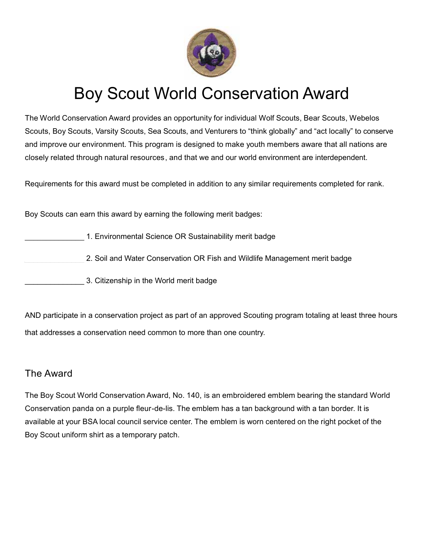

## Boy Scout World Conservation Award

The World Conservation Award provides an opportunity for individual Wolf Scouts, Bear Scouts, Webelos Scouts, Boy Scouts, Varsity Scouts, Sea Scouts, and Venturers to "think globally" and "act locally" to conserve and improve our environment. This program is designed to make youth members aware that all nations are closely related through natural resources , and that we and our world environment are interdependent.

Requirements for this award must be completed in addition to any similar requirements completed for rank.

Boy Scouts can earn this award by earning the following merit badges:

- 1. Environmental Science OR Sustainability merit badge
	- 2. Soil and Water Conservation OR Fish and Wildlife Management merit badge
- \_\_\_\_\_\_\_\_\_\_\_\_\_\_ 3. Citizenship in the World merit badge

AND participate in a conservation project as part of an approved Scouting program totaling at least three hours that addresses a conservation need common to more than one country.

## The Award

The Boy Scout World Conservation Award, No. 140, is an embroidered emblem bearing the standard World Conservation panda on a purple fleur-de-lis. The emblem has a tan background with a tan border. It is available at your BSA local council service center. The emblem is worn centered on the right pocket of the Boy Scout uniform shirt as a temporary patch.